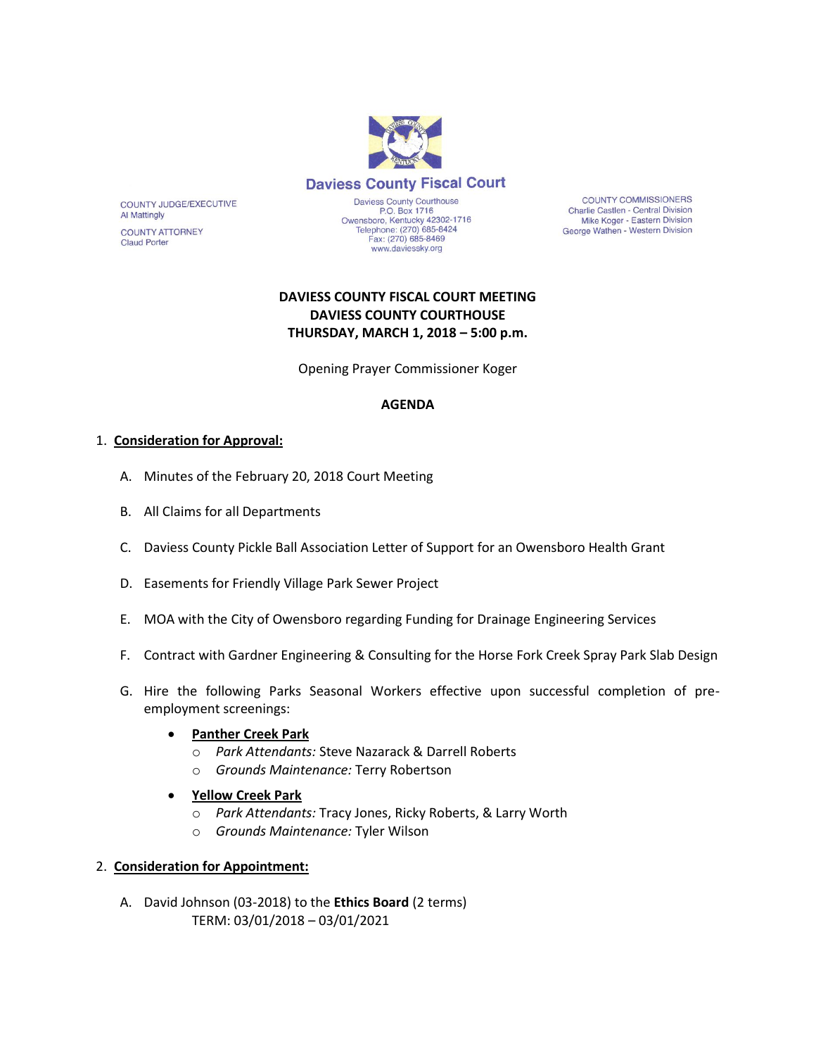

**COUNTY COMMISSIONERS** Charlie Castlen - Central Division Mike Koger - Eastern Division George Wathen - Western Division

# **DAVIESS COUNTY FISCAL COURT MEETING DAVIESS COUNTY COURTHOUSE THURSDAY, MARCH 1, 2018 – 5:00 p.m.**

Opening Prayer Commissioner Koger

## **AGENDA**

## 1. **Consideration for Approval:**

COUNTY JUDGE/EXECUTIVE

**COUNTY ATTORNEY** 

**Al Mattingly** 

**Claud Porter** 

- A. Minutes of the February 20, 2018 Court Meeting
- B. All Claims for all Departments
- C. Daviess County Pickle Ball Association Letter of Support for an Owensboro Health Grant
- D. Easements for Friendly Village Park Sewer Project
- E. MOA with the City of Owensboro regarding Funding for Drainage Engineering Services
- F. Contract with Gardner Engineering & Consulting for the Horse Fork Creek Spray Park Slab Design
- G. Hire the following Parks Seasonal Workers effective upon successful completion of preemployment screenings:

#### **Panther Creek Park**

- o *Park Attendants:* Steve Nazarack & Darrell Roberts
- o *Grounds Maintenance:* Terry Robertson
- **Yellow Creek Park**
	- o *Park Attendants:* Tracy Jones, Ricky Roberts, & Larry Worth
	- o *Grounds Maintenance:* Tyler Wilson

## 2. **Consideration for Appointment:**

A. David Johnson (03-2018) to the **Ethics Board** (2 terms) TERM: 03/01/2018 – 03/01/2021